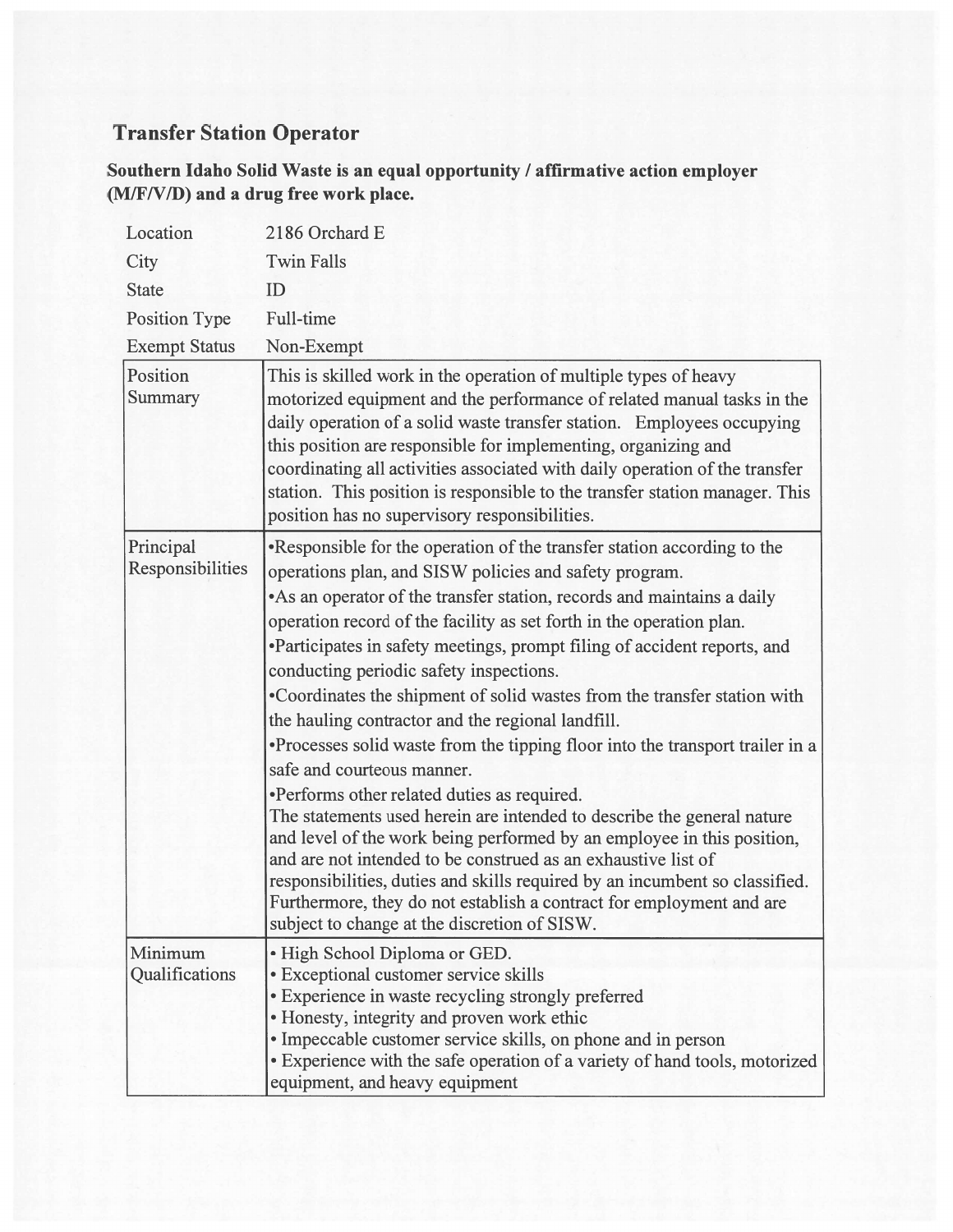## Transfer Station Operator

Southern Idaho Solid Waste is an equal opportunity / affirmative action employer (M/F/V/D) and a drug free work place.

| Location                      | 2186 Orchard E                                                                                                                                                                                                                                                                                                                                                                                                                                                                                                                                                                                                                                                                                                                                                                                                                                                                                                                                                                                                                                                                                                                         |
|-------------------------------|----------------------------------------------------------------------------------------------------------------------------------------------------------------------------------------------------------------------------------------------------------------------------------------------------------------------------------------------------------------------------------------------------------------------------------------------------------------------------------------------------------------------------------------------------------------------------------------------------------------------------------------------------------------------------------------------------------------------------------------------------------------------------------------------------------------------------------------------------------------------------------------------------------------------------------------------------------------------------------------------------------------------------------------------------------------------------------------------------------------------------------------|
| City                          | <b>Twin Falls</b>                                                                                                                                                                                                                                                                                                                                                                                                                                                                                                                                                                                                                                                                                                                                                                                                                                                                                                                                                                                                                                                                                                                      |
| <b>State</b>                  | ID                                                                                                                                                                                                                                                                                                                                                                                                                                                                                                                                                                                                                                                                                                                                                                                                                                                                                                                                                                                                                                                                                                                                     |
| Position Type                 | Full-time                                                                                                                                                                                                                                                                                                                                                                                                                                                                                                                                                                                                                                                                                                                                                                                                                                                                                                                                                                                                                                                                                                                              |
| <b>Exempt Status</b>          | Non-Exempt                                                                                                                                                                                                                                                                                                                                                                                                                                                                                                                                                                                                                                                                                                                                                                                                                                                                                                                                                                                                                                                                                                                             |
| Position<br>Summary           | This is skilled work in the operation of multiple types of heavy<br>motorized equipment and the performance of related manual tasks in the<br>daily operation of a solid waste transfer station. Employees occupying<br>this position are responsible for implementing, organizing and<br>coordinating all activities associated with daily operation of the transfer<br>station. This position is responsible to the transfer station manager. This<br>position has no supervisory responsibilities.                                                                                                                                                                                                                                                                                                                                                                                                                                                                                                                                                                                                                                  |
| Principal<br>Responsibilities | •Responsible for the operation of the transfer station according to the<br>operations plan, and SISW policies and safety program.<br>• As an operator of the transfer station, records and maintains a daily<br>operation record of the facility as set forth in the operation plan.<br>•Participates in safety meetings, prompt filing of accident reports, and<br>conducting periodic safety inspections.<br>•Coordinates the shipment of solid wastes from the transfer station with<br>the hauling contractor and the regional landfill.<br>•Processes solid waste from the tipping floor into the transport trailer in a<br>safe and courteous manner.<br>•Performs other related duties as required.<br>The statements used herein are intended to describe the general nature<br>and level of the work being performed by an employee in this position,<br>and are not intended to be construed as an exhaustive list of<br>responsibilities, duties and skills required by an incumbent so classified.<br>Furthermore, they do not establish a contract for employment and are<br>subject to change at the discretion of SISW. |
| Minimum<br>Qualifications     | · High School Diploma or GED.<br>• Exceptional customer service skills<br>• Experience in waste recycling strongly preferred<br>• Honesty, integrity and proven work ethic<br>· Impeccable customer service skills, on phone and in person<br>• Experience with the safe operation of a variety of hand tools, motorized<br>equipment, and heavy equipment                                                                                                                                                                                                                                                                                                                                                                                                                                                                                                                                                                                                                                                                                                                                                                             |